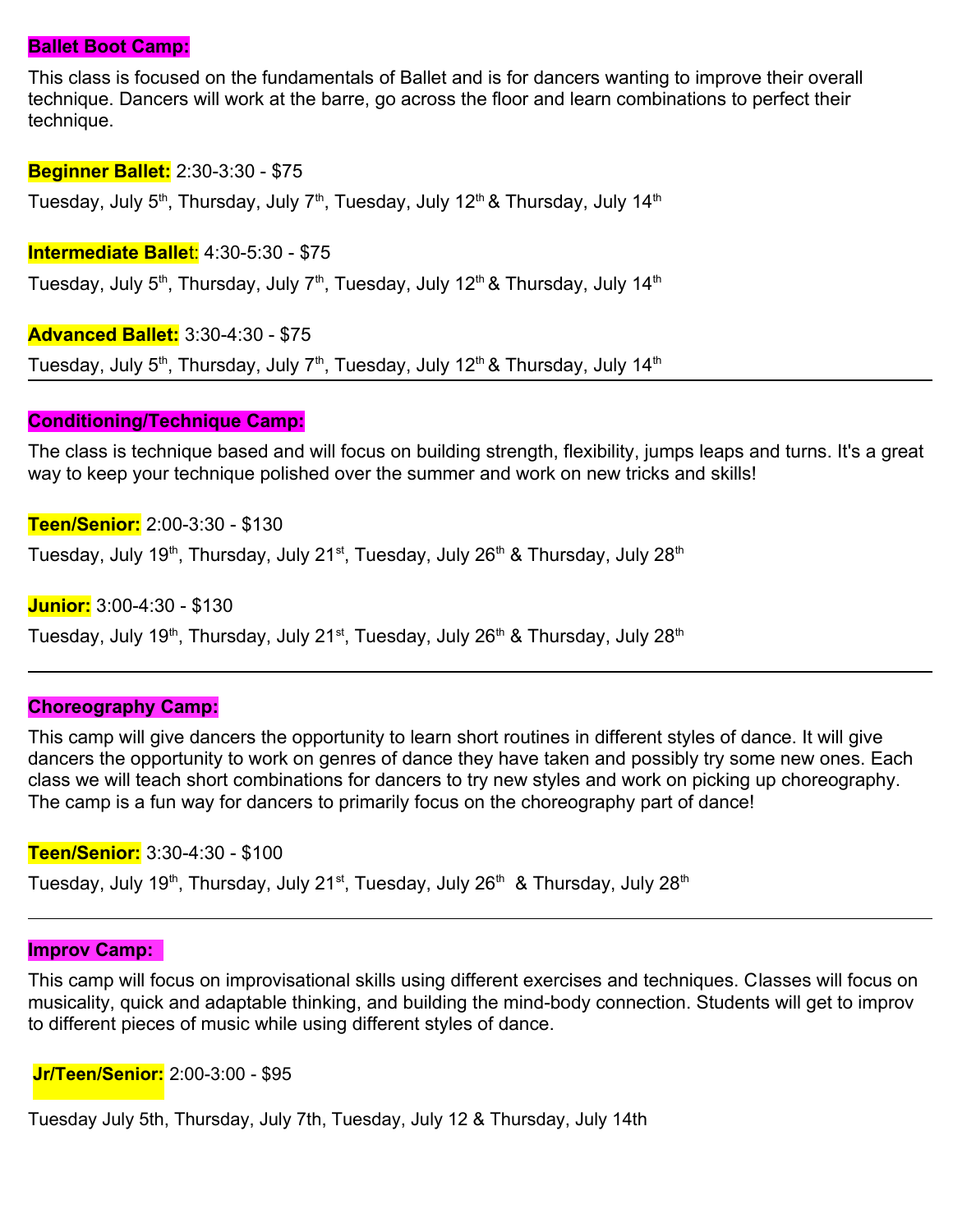## **Ballet Boot Camp:**

This class is focused on the fundamentals of Ballet and is for dancers wanting to improve their overall technique. Dancers will work at the barre, go across the floor and learn combinations to perfect their technique.

**Beginner Ballet:** 2:30-3:30 - \$75

Tuesday, July 5<sup>th</sup>, Thursday, July 7<sup>th</sup>, Tuesday, July 12<sup>th</sup> & Thursday, July 14<sup>th</sup>

**Intermediate Balle**t: 4:30-5:30 - \$75

Tuesday, July 5<sup>th</sup>, Thursday, July 7<sup>th</sup>, Tuesday, July 12<sup>th</sup> & Thursday, July 14<sup>th</sup>

**Advanced Ballet:** 3:30-4:30 - \$75

Tuesday, July 5<sup>th</sup>, Thursday, July 7<sup>th</sup>, Tuesday, July 12<sup>th</sup> & Thursday, July 14<sup>th</sup>

# **Conditioning/Technique Camp:**

The class is technique based and will focus on building strength, flexibility, jumps leaps and turns. It's a great way to keep your technique polished over the summer and work on new tricks and skills!

**Teen/Senior:** 2:00-3:30 - \$130

Tuesday, July 19<sup>th</sup>, Thursday, July 21<sup>st</sup>, Tuesday, July 26<sup>th</sup> & Thursday, July 28<sup>th</sup>

**Junior:** 3:00-4:30 - \$130 Tuesday, July 19<sup>th</sup>, Thursday, July 21<sup>st</sup>, Tuesday, July 26<sup>th</sup> & Thursday, July 28<sup>th</sup>

### **Choreography Camp:**

This camp will give dancers the opportunity to learn short routines in different styles of dance. It will give dancers the opportunity to work on genres of dance they have taken and possibly try some new ones. Each class we will teach short combinations for dancers to try new styles and work on picking up choreography. The camp is a fun way for dancers to primarily focus on the choreography part of dance!

**Teen/Senior:** 3:30-4:30 - \$100

Tuesday, July 19<sup>th</sup>, Thursday, July 21<sup>st</sup>, Tuesday, July 26<sup>th</sup> & Thursday, July 28<sup>th</sup>

#### **Improv Camp:**

This camp will focus on improvisational skills using different exercises and techniques. Classes will focus on musicality, quick and adaptable thinking, and building the mind-body connection. Students will get to improv to different pieces of music while using different styles of dance.

**Jr/Teen/Senior:** 2:00-3:00 - \$95

Tuesday July 5th, Thursday, July 7th, Tuesday, July 12 & Thursday, July 14th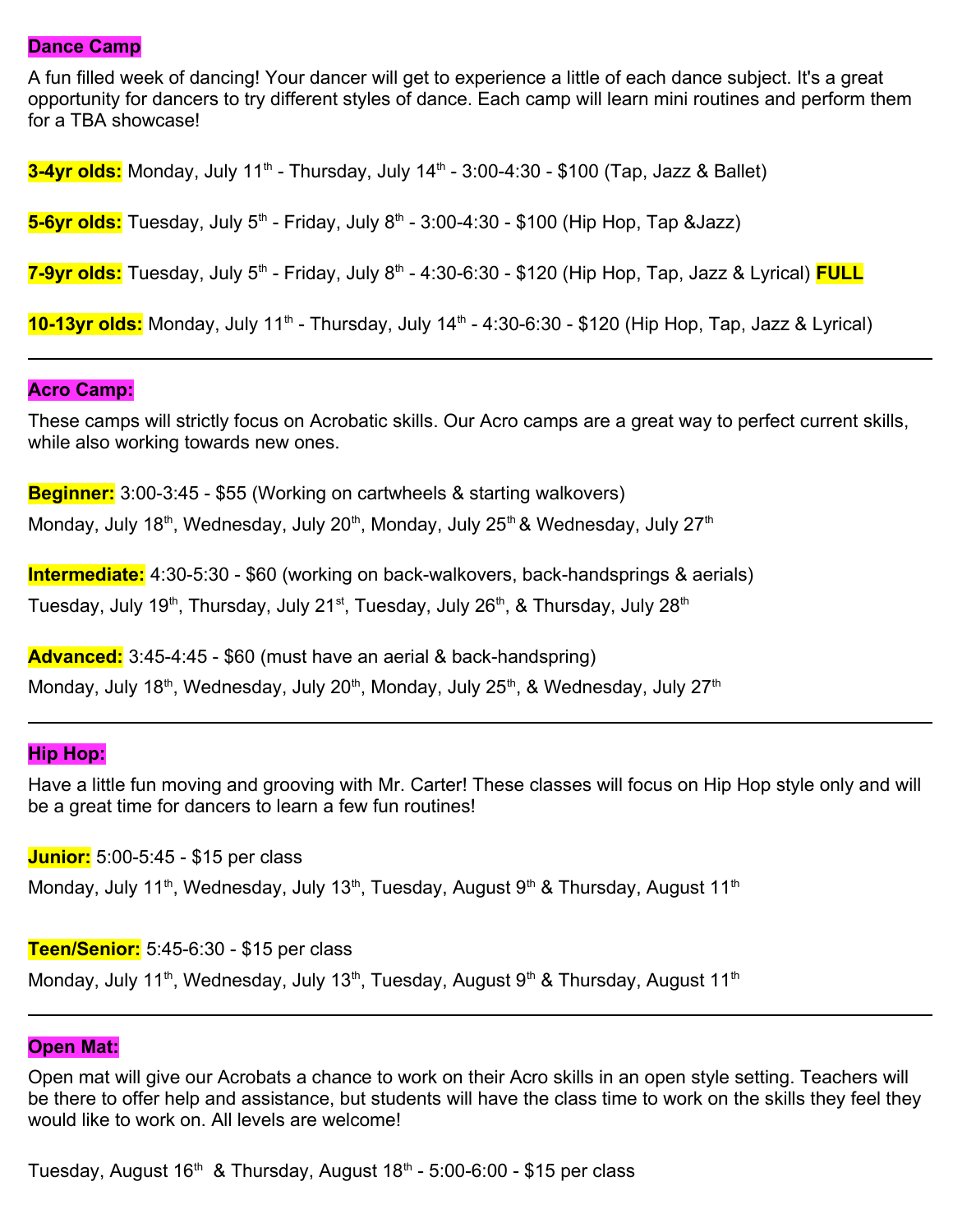## **Dance Camp**

A fun filled week of dancing! Your dancer will get to experience a little of each dance subject. It's a great opportunity for dancers to try different styles of dance. Each camp will learn mini routines and perform them for a TBA showcase!

**3-4yr olds:** Monday, July 11<sup>th</sup> - Thursday, July 14<sup>th</sup> - 3:00-4:30 - \$100 (Tap, Jazz & Ballet)

5-6yr olds: Tuesday, July 5<sup>th</sup> - Friday, July 8<sup>th</sup> - 3:00-4:30 - \$100 (Hip Hop, Tap &Jazz)

**7-9yr olds:** Tuesday, July 5<sup>th</sup> - Friday, July 8<sup>th</sup> - 4:30-6:30 - \$120 (Hip Hop, Tap, Jazz & Lyrical) **FULL** 

**10-13yr olds:** Monday, July 11<sup>th</sup> - Thursday, July 14<sup>th</sup> - 4:30-6:30 - \$120 (Hip Hop, Tap, Jazz & Lyrical)

### **Acro Camp:**

These camps will strictly focus on Acrobatic skills. Our Acro camps are a great way to perfect current skills, while also working towards new ones.

**Beginner:** 3:00-3:45 - \$55 (Working on cartwheels & starting walkovers) Monday, July 18<sup>th</sup>, Wednesday, July 20<sup>th</sup>, Monday, July 25<sup>th</sup> & Wednesday, July 27<sup>th</sup>

**Intermediate:** 4:30-5:30 - \$60 (working on back-walkovers, back-handsprings & aerials)

Tuesday, July 19<sup>th</sup>, Thursday, July 21<sup>st</sup>, Tuesday, July 26<sup>th</sup>, & Thursday, July 28<sup>th</sup>

**Advanced:** 3:45-4:45 - \$60 (must have an aerial & back-handspring) Monday, July 18<sup>th</sup>, Wednesday, July 20<sup>th</sup>, Monday, July 25<sup>th</sup>, & Wednesday, July 27<sup>th</sup>

### **Hip Hop:**

Have a little fun moving and grooving with Mr. Carter! These classes will focus on Hip Hop style only and will be a great time for dancers to learn a few fun routines!

**Junior:** 5:00-5:45 - \$15 per class Monday, July 11<sup>th</sup>, Wednesday, July 13<sup>th</sup>, Tuesday, August 9<sup>th</sup> & Thursday, August 11<sup>th</sup>

**Teen/Senior:** 5:45-6:30 - \$15 per class

Monday, July 11<sup>th</sup>, Wednesday, July 13<sup>th</sup>, Tuesday, August 9<sup>th</sup> & Thursday, August 11<sup>th</sup>

### **Open Mat:**

Open mat will give our Acrobats a chance to work on their Acro skills in an open style setting. Teachers will be there to offer help and assistance, but students will have the class time to work on the skills they feel they would like to work on. All levels are welcome!

Tuesday, August  $16<sup>th</sup>$  & Thursday, August  $18<sup>th</sup>$  - 5:00-6:00 - \$15 per class